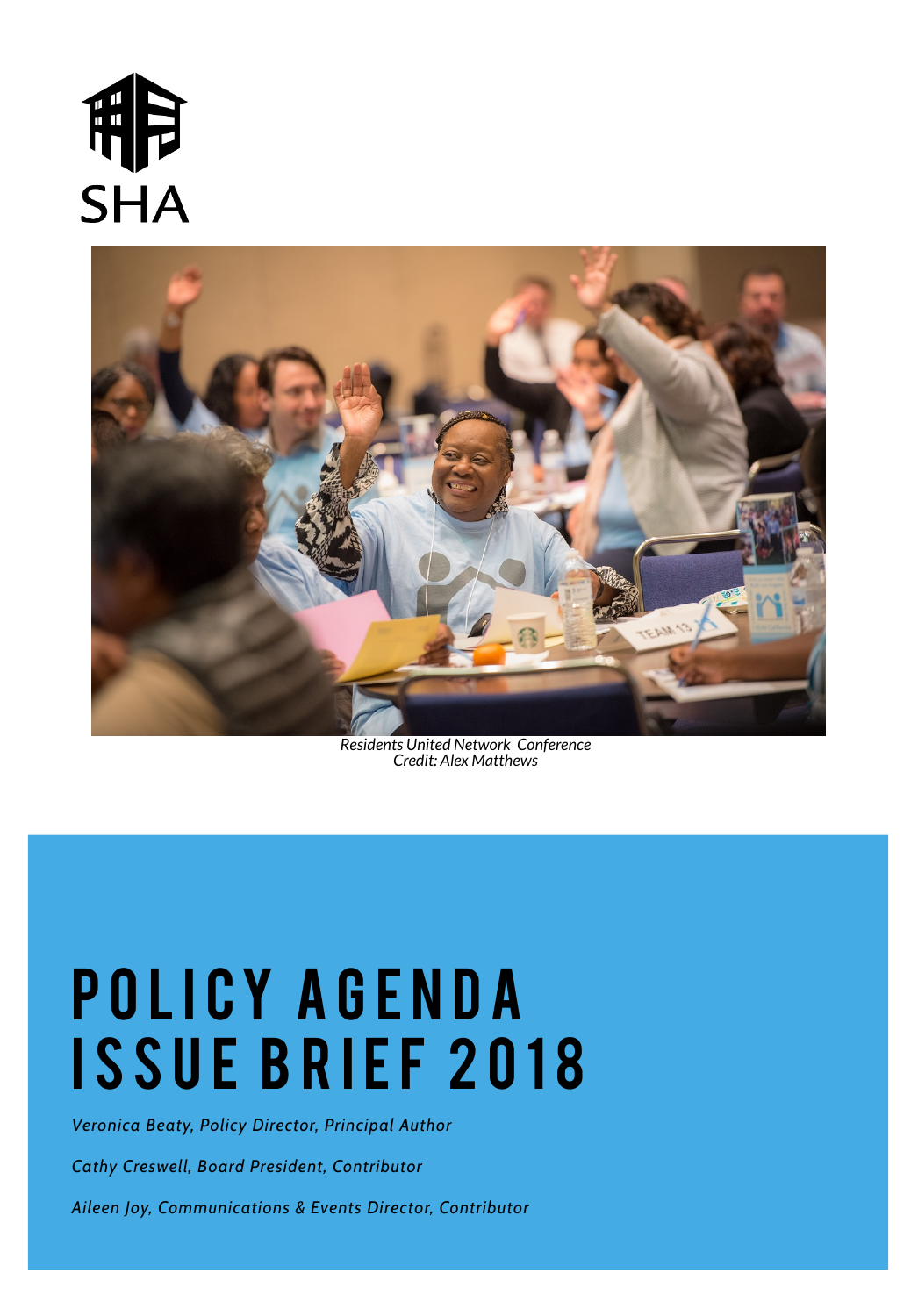*Veronica Beaty, Policy Director, Principal Author*

*Cathy Creswell, Board President, Contributor*

*Aileen Joy, Communications & Events Director, Contributor*

# 



*Residents United Network Conference Credit: Alex Matthews*



# POLICY AGENDA ISSUE BRIEF 2018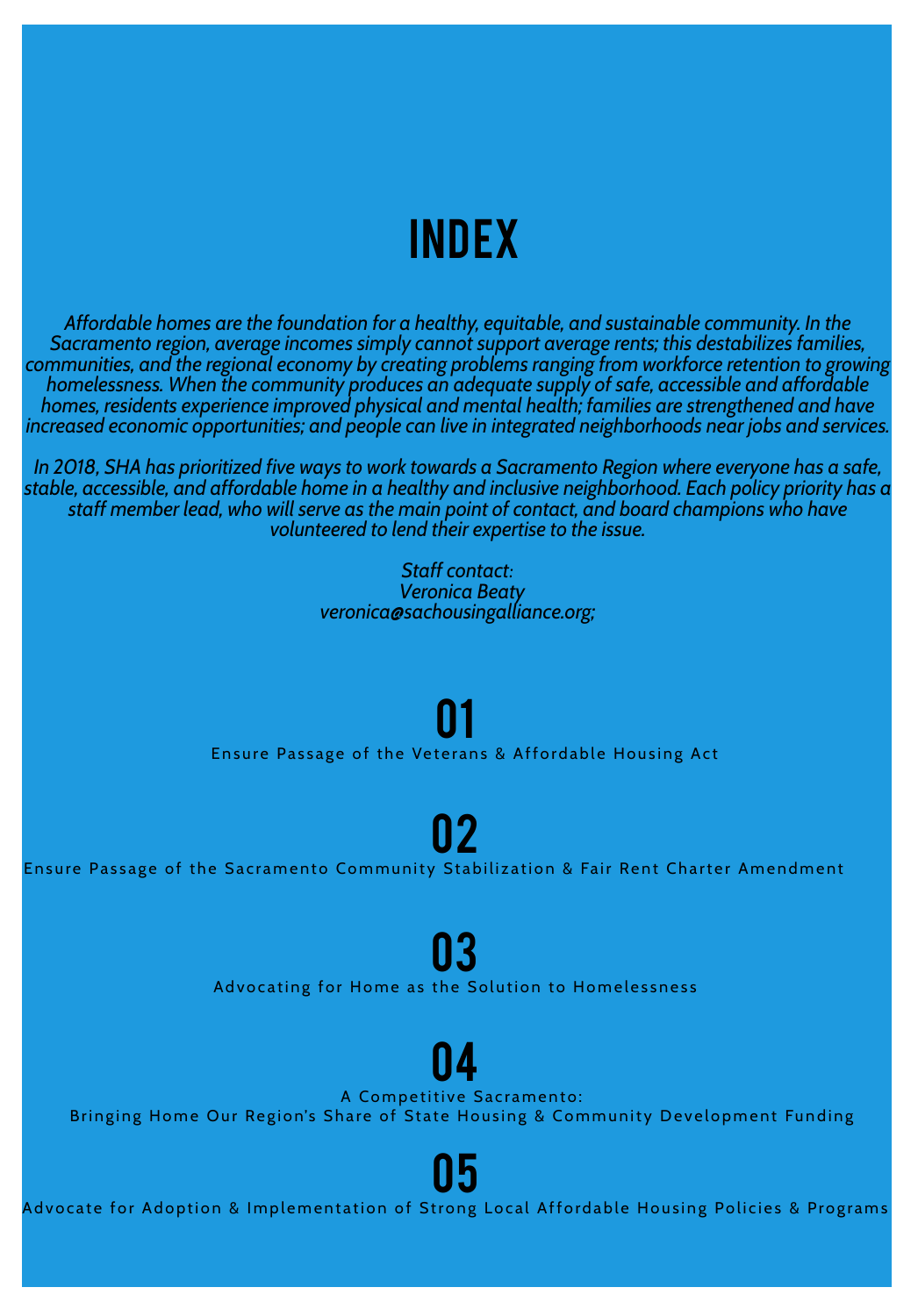Ensure Passage of the Veterans & Affordable Housing Act 01

Ensure Passage of the Sacramento Community Stabilization & Fair Rent Charter Amendment

02

Advocating for Home as the Solution to Homelessness

03

A Competitive Sacramento:

04

Bringing Home Our Region's Share of State Housing & Community Development Funding

Advocate for Adoption & Implementation of Strong Local Affordable Housing Policies & Programs

<u>| | h</u>

## **INDEX**

*Affordable homes are the foundation for a healthy, equitable, and sustainable community. In the Sacramento region, average incomes simply cannot support average rents; this destabilizes families, communities, and the regional economy by creating problems ranging from workforce retention to growing homelessness. When the community produces an adequate supply of safe, accessible and affordable homes, residents experience improved physical and mental health; families are strengthened and have increased economic opportunities; and people can live in integrated neighborhoods near jobs and services.*

*In 2018, SHA has prioritized five ways to work towards a Sacramento Region where everyone has a safe, stable, accessible, and affordable home in a healthy and inclusive neighborhood. Each policy priority has a staff member lead, who will serve as the main point of contact, and board champions who have volunteered to lend their expertise to the issue.*

> *Staff contact: Veronica Beaty veronica@sachousingalliance.org;*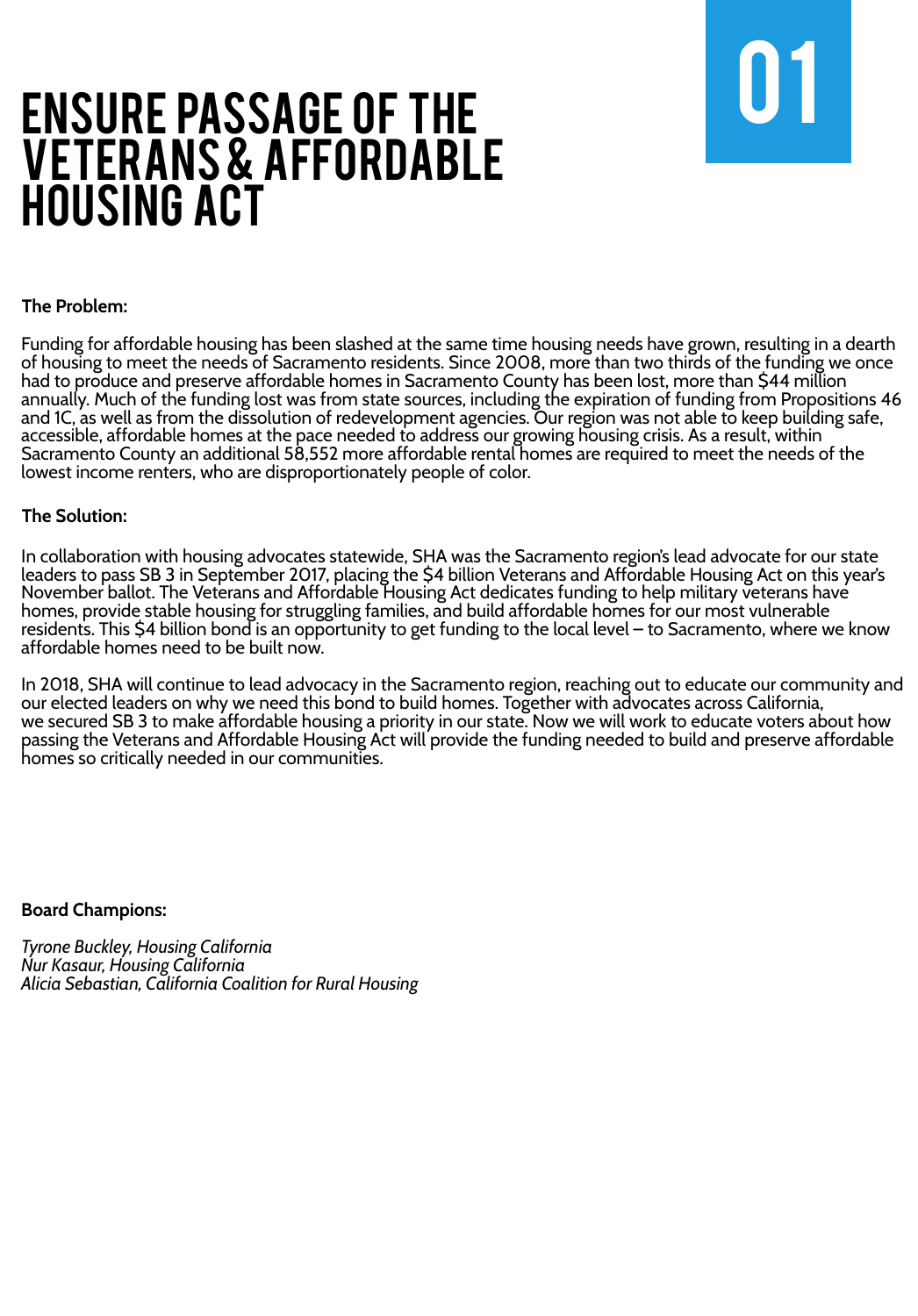## ENSURE PASSAGE OF THE **1990** VETERANS & AFFORDABLE Housing Act



#### **The Problem:**

Funding for affordable housing has been slashed at the same time housing needs have grown, resulting in a dearth of housing to meet the needs of Sacramento residents. Since 2008, more than two thirds of the funding we once had to produce and preserve affordable homes in Sacramento County has been lost, more than \$44 million annually. Much of the funding lost was from state sources, including the expiration of funding from Propositions 46 and 1C, as well as from the dissolution of redevelopment agencies. Our region was not able to keep building safe, accessible, affordable homes at the pace needed to address our growing housing crisis. As a result, within Sacramento County an additional 58,552 more affordable rental homes are required to meet the needs of the lowest income renters, who are disproportionately people of color.

#### **The Solution:**

In collaboration with housing advocates statewide, SHA was the Sacramento region's lead advocate for our state leaders to pass SB 3 in September 2017, placing the \$4 billion Veterans and Affordable Housing Act on this year's November ballot. The Veterans and Affordable Housing Act dedicates funding to help military veterans have homes, provide stable housing for struggling families, and build affordable homes for our most vulnerable residents. This \$4 billion bond is an opportunity to get funding to the local level – to Sacramento, where we know affordable homes need to be built now.

In 2018, SHA will continue to lead advocacy in the Sacramento region, reaching out to educate our community and our elected leaders on why we need this bond to build homes. Together with advocates across California, we secured SB 3 to make affordable housing a priority in our state. Now we will work to educate voters about how passing the Veterans and Affordable Housing Act will provide the funding needed to build and preserve affordable homes so critically needed in our communities.

#### **Board Champions:**

*Tyrone Buckley, Housing California Nur Kasaur, Housing California Alicia Sebastian, California Coalition for Rural Housing*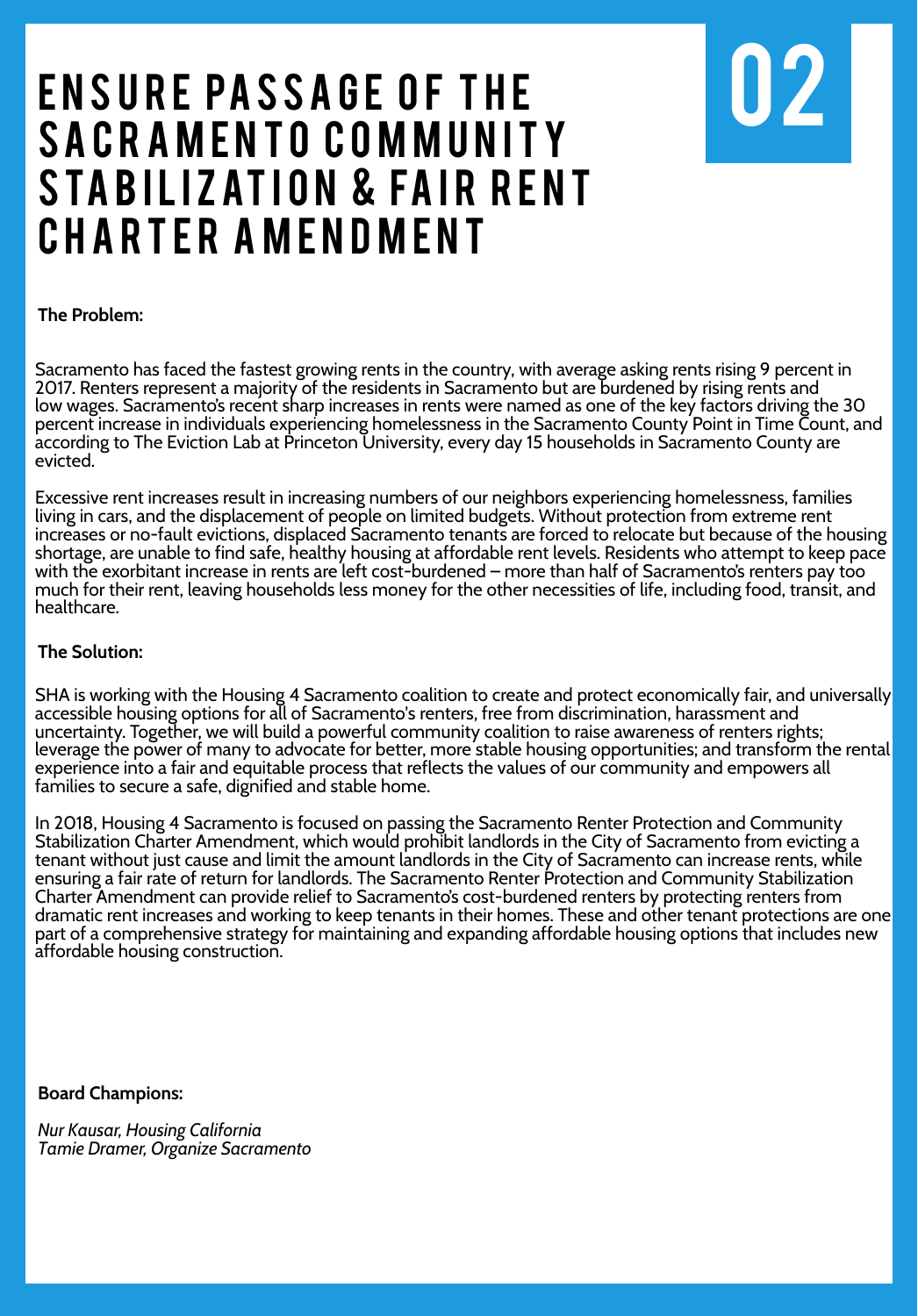## ENSURE PASSAGE OF THE SACRAMENTO COMMUNITY STABILIZATION & FAIR RENT CHARTER AMENDMENT



**The Problem:**

SHA is working with the Housing 4 Sacramento coalition to create and protect economically fair, and universally accessible housing options for all of Sacramento's renters, free from discrimination, harassment and uncertainty. Together, we will build a powerful community coalition to raise awareness of renters rights; leverage the power of many to advocate for better, more stable housing opportunities; and transform the rental experience into a fair and equitable process that reflects the values of our community and empowers all families to secure a safe, dignified and stable home.

In 2018, Housing 4 Sacramento is focused on passing the Sacramento Renter Protection and Community Stabilization Charter Amendment, which would prohibit landlords in the City of Sacramento from evicting a tenant without just cause and limit the amount landlords in the City of Sacramento can increase rents, while ensuring a fair rate of return for landlords. The Sacramento Renter Protection and Community Stabilization Charter Amendment can provide relief to Sacramento's cost-burdened renters by protecting renters from dramatic rent increases and working to keep tenants in their homes. These and other tenant protections are one part of a comprehensive strategy for maintaining and expanding affordable housing options that includes new affordable housing construction.

Sacramento has faced the fastest growing rents in the country, with average asking rents rising 9 percent in 2017. Renters represent a majority of the residents in Sacramento but are burdened by rising rents and low wages. Sacramento's recent sharp increases in rents were named as one of the key factors driving the 30 percent increase in individuals experiencing homelessness in the Sacramento County Point in Time Count, and according to The Eviction Lab at Princeton University, every day 15 households in Sacramento County are evicted.

Excessive rent increases result in increasing numbers of our neighbors experiencing homelessness, families living in cars, and the displacement of people on limited budgets. Without protection from extreme rent increases or no-fault evictions, displaced Sacramento tenants are forced to relocate but because of the housing shortage, are unable to find safe, healthy housing at affordable rent levels. Residents who attempt to keep pace with the exorbitant increase in rents are left cost-burdened – more than half of Sacramento's renters pay too much for their rent, leaving households less money for the other necessities of life, including food, transit, and healthcare.

#### **The Solution:**

#### **Board Champions:**

*Nur Kausar, Housing California Tamie Dramer, Organize Sacramento*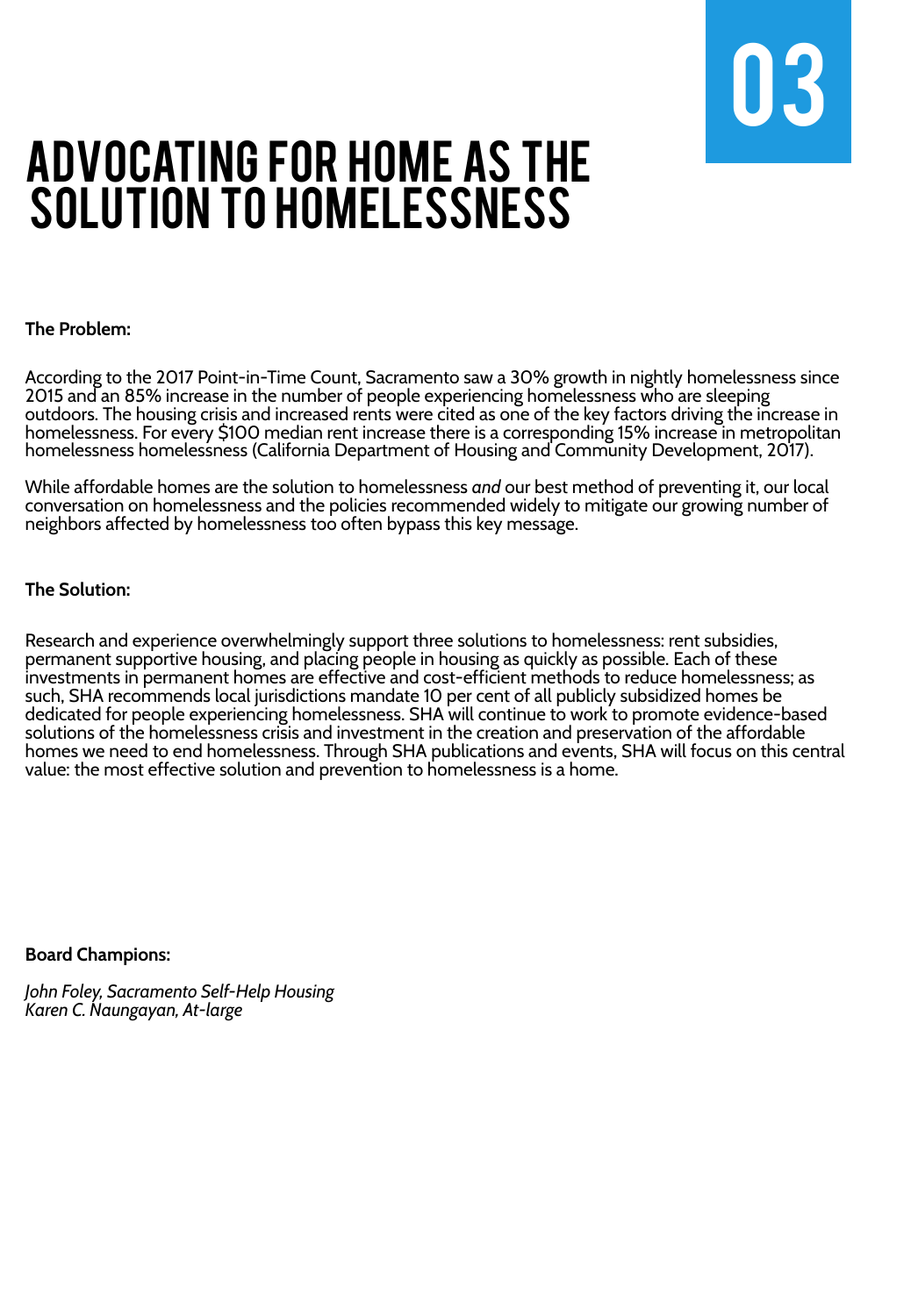

#### **The Solution:**

#### **The Problem:**

According to the 2017 Point-in-Time Count, Sacramento saw a 30% growth in nightly homelessness since 2015 and an 85% increase in the number of people experiencing homelessness who are sleeping outdoors. The housing crisis and increased rents were cited as one of the key factors driving the increase in homelessness. For every \$100 median rent increase there is a corresponding 15% increase in metropolitan homelessness homelessness (California Department of Housing and Community Development, 2017).

While affordable homes are the solution to homelessness *and* our best method of preventing it, our local conversation on homelessness and the policies recommended widely to mitigate our growing number of neighbors affected by homelessness too often bypass this key message.

## Advocating for Home as the SOLUTION TO HOMELESSNESS

Research and experience overwhelmingly support three solutions to homelessness: rent subsidies, permanent supportive housing, and placing people in housing as quickly as possible. Each of these investments in permanent homes are effective and cost-efficient methods to reduce homelessness; as such, SHA recommends local jurisdictions mandate 10 per cent of all publicly subsidized homes be dedicated for people experiencing homelessness. SHA will continue to work to promote evidence-based solutions of the homelessness crisis and investment in the creation and preservation of the affordable homes we need to end homelessness. Through SHA publications and events, SHA will focus on this central value: the most effective solution and prevention to homelessness is a home.

#### **Board Champions:**

*John Foley, Sacramento Self-Help Housing Karen C. Naungayan, At-large*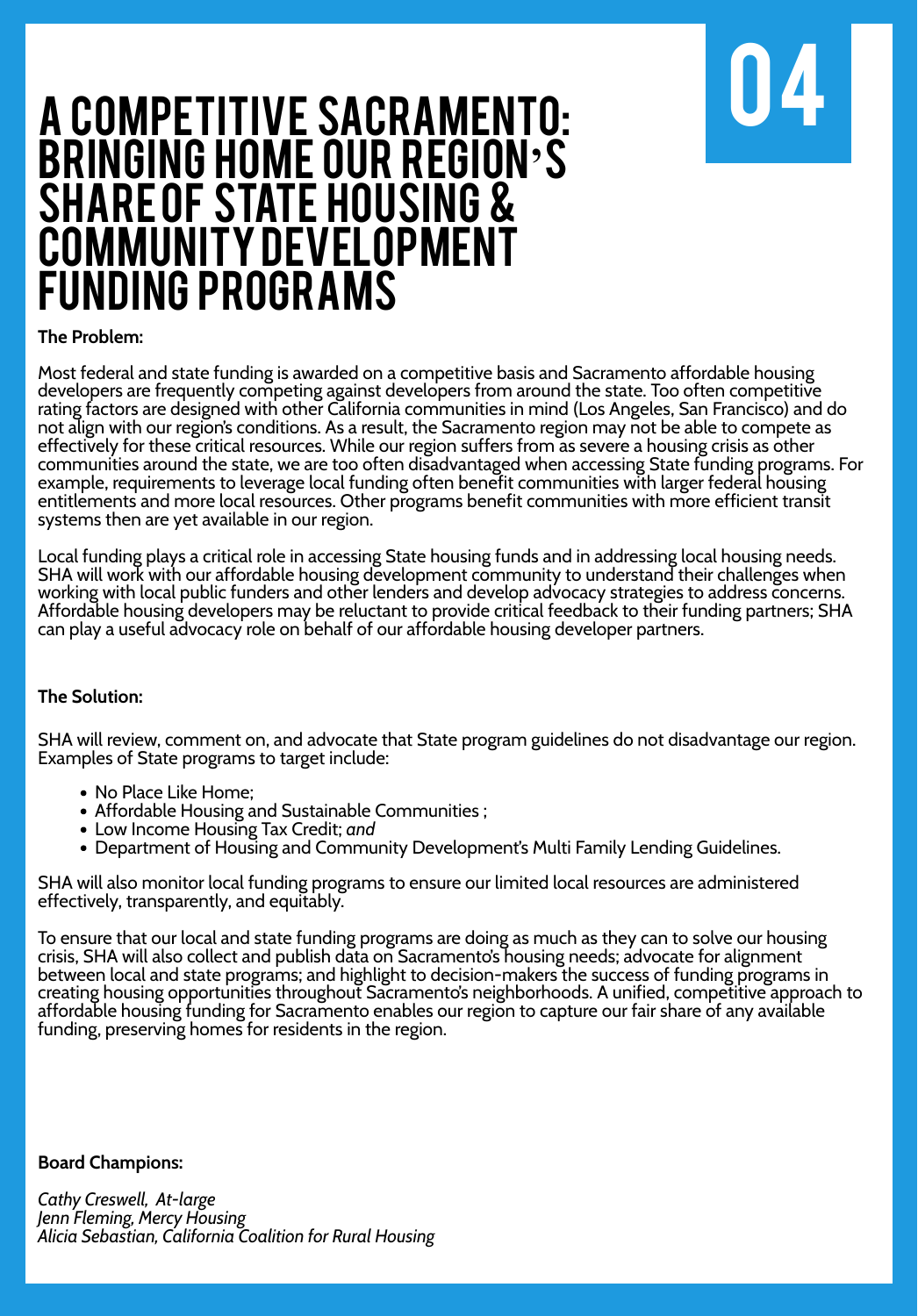

### A COMPETITIVE SACRAMENTO: Bringing Home our Region**'**s SHARE OF STATE HOUSING & COMMUNITY DEVELOPMENT Funding Programs

**The Problem:**

#### **The Solution:**

#### **Board Champions:**

*Cathy Creswell, At-large Jenn Fleming, Mercy Housing Alicia Sebastian, California Coalition for Rural Housing*

- No Place Like Home;
- Affordable Housing and Sustainable Communities ;
- Low Income Housing Tax Credit; *and*
- Department of Housing and Community Development's Multi Family Lending Guidelines.

SHA will review, comment on, and advocate that State program guidelines do not disadvantage our region. Examples of State programs to target include:

Most federal and state funding is awarded on a competitive basis and Sacramento affordable housing developers are frequently competing against developers from around the state. Too often competitive rating factors are designed with other California communities in mind (Los Angeles, San Francisco) and do not align with our region's conditions. As a result, the Sacramento region may not be able to compete as effectively for these critical resources. While our region suffers from as severe a housing crisis as other communities around the state, we are too often disadvantaged when accessing State funding programs. For example, requirements to leverage local funding often benefit communities with larger federal housing entitlements and more local resources. Other programs benefit communities with more efficient transit systems then are yet available in our region.

Local funding plays a critical role in accessing State housing funds and in addressing local housing needs. SHA will work with our affordable housing development community to understand their challenges when working with local public funders and other lenders and develop advocacy strategies to address concerns. Affordable housing developers may be reluctant to provide critical feedback to their funding partners; SHA can play a useful advocacy role on behalf of our affordable housing developer partners.

SHA will also monitor local funding programs to ensure our limited local resources are administered effectively, transparently, and equitably.

To ensure that our local and state funding programs are doing as much as they can to solve our housing crisis, SHA will also collect and publish data on Sacramento's housing needs; advocate for alignment between local and state programs; and highlight to decision-makers the success of funding programs in creating housing opportunities throughout Sacramento's neighborhoods. A unified, competitive approach to affordable housing funding for Sacramento enables our region to capture our fair share of any available funding, preserving homes for residents in the region.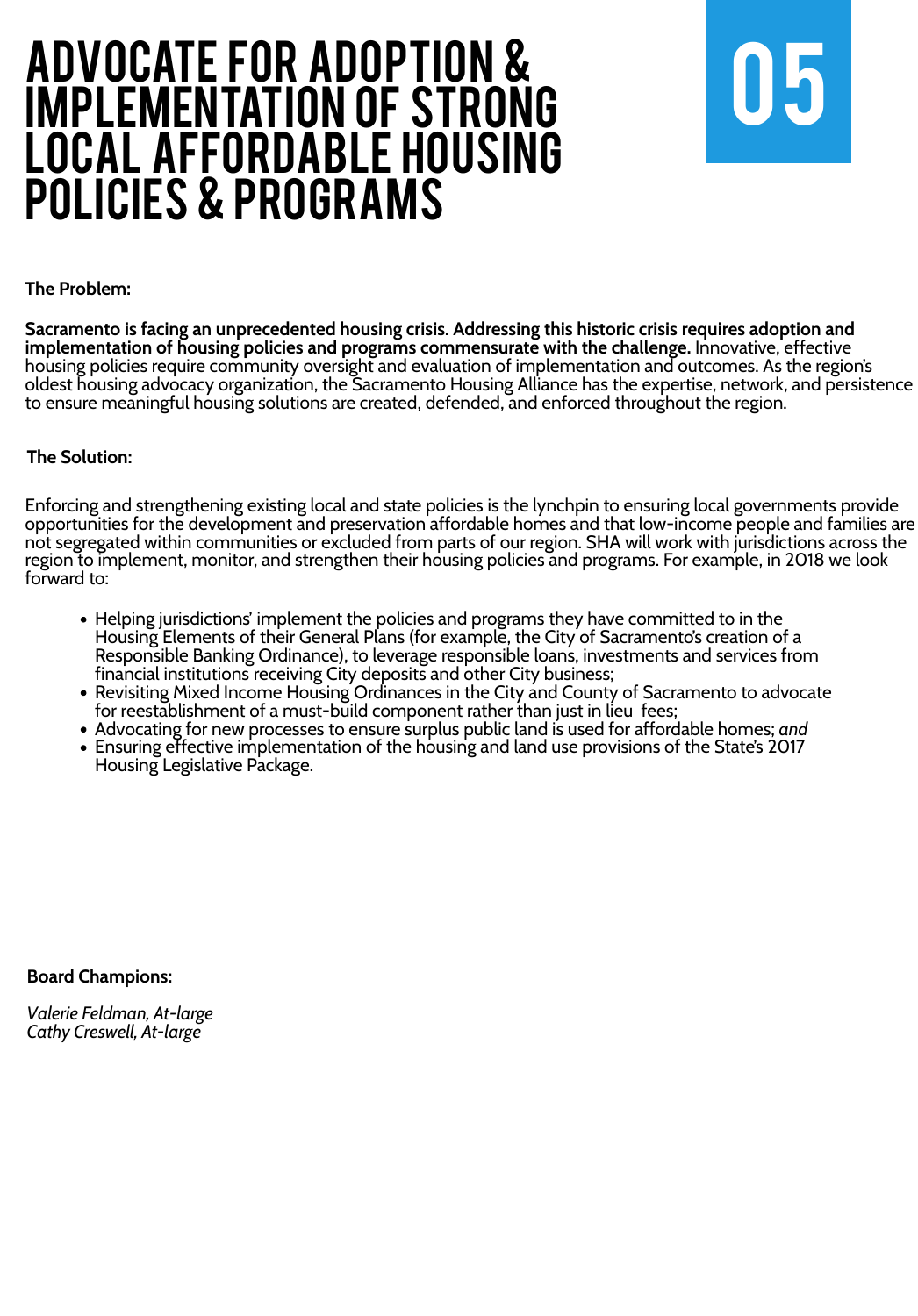

#### **The Solution:**

Enforcing and strengthening existing local and state policies is the lynchpin to ensuring local governments provide opportunities for the development and preservation affordable homes and that low-income people and families are not segregated within communities or excluded from parts of our region. SHA will work with jurisdictions across the region to implement, monitor, and strengthen their housing policies and programs. For example, in 2018 we look forward to:

**The Problem:**

## Advocate for Adoption & Implementation of Strong Local Affordable Housing POLICIES & PROGRAMS

**Sacramento is facing an unprecedented housing crisis. Addressing this historic crisis requires adoption and implementation of housing policies and programs commensurate with the challenge.** Innovative, effective housing policies require community oversight and evaluation of implementation and outcomes. As the region's oldest housing advocacy organization, the Sacramento Housing Alliance has the expertise, network, and persistence to ensure meaningful housing solutions are created, defended, and enforced throughout the region.

- Helping jurisdictions' implement the policies and programs they have committed to in the Housing Elements of their General Plans (for example, the City of Sacramento's creation of a Responsible Banking Ordinance), to leverage responsible loans, investments and services from financial institutions receiving City deposits and other City business;
- Revisiting Mixed Income Housing Ordinances in the City and County of Sacramento to advocate for reestablishment of a must-build component rather than just in lieu fees;
- Advocating for new processes to ensure surplus public land is used for affordable homes; *and*
- Ensuring effective implementation of the housing and land use provisions of the State's 2017 Housing Legislative Package.

#### **Board Champions:**

*Valerie Feldman, At-large Cathy Creswell, At-large*